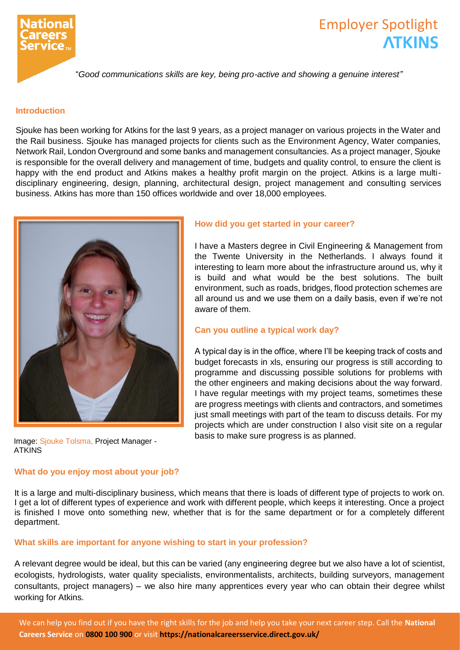

# Employer Spotlight **ATKINS**

"*Good communications skills are key, being pro-active and showing a genuine interest"*

## **Introduction**

Sjouke has been working for Atkins for the last 9 years, as a project manager on various projects in the Water and the Rail business. Sjouke has managed projects for clients such as the Environment Agency, Water companies, Network Rail, London Overground and some banks and management consultancies. As a project manager, Sjouke is responsible for the overall delivery and management of time, budgets and quality control, to ensure the client is happy with the end product and Atkins makes a healthy profit margin on the project. Atkins is a large multidisciplinary engineering, design, planning, architectural design, project management and consulting services business. Atkins has more than 150 offices worldwide and over 18,000 employees.



Image: Sjouke Tolsma, Project Manager - ATKINS

#### **What do you enjoy most about your job?**

## **How did you get started in your career?**

I have a Masters degree in Civil Engineering & Management from the Twente University in the Netherlands. I always found it interesting to learn more about the infrastructure around us, why it is build and what would be the best solutions. The built environment, such as roads, bridges, flood protection schemes are all around us and we use them on a daily basis, even if we're not aware of them.

## **Can you outline a typical work day?**

A typical day is in the office, where I'll be keeping track of costs and budget forecasts in xls, ensuring our progress is still according to programme and discussing possible solutions for problems with the other engineers and making decisions about the way forward. I have regular meetings with my project teams, sometimes these are progress meetings with clients and contractors, and sometimes just small meetings with part of the team to discuss details. For my projects which are under construction I also visit site on a regular basis to make sure progress is as planned.

It is a large and multi-disciplinary business, which means that there is loads of different type of projects to work on. I get a lot of different types of experience and work with different people, which keeps it interesting. Once a project is finished I move onto something new, whether that is for the same department or for a completely different department.

## **What skills are important for anyone wishing to start in your profession?**

A relevant degree would be ideal, but this can be varied (any engineering degree but we also have a lot of scientist, ecologists, hydrologists, water quality specialists, environmentalists, architects, building surveyors, management consultants, project managers) – we also hire many apprentices every year who can obtain their degree whilst working for Atkins.